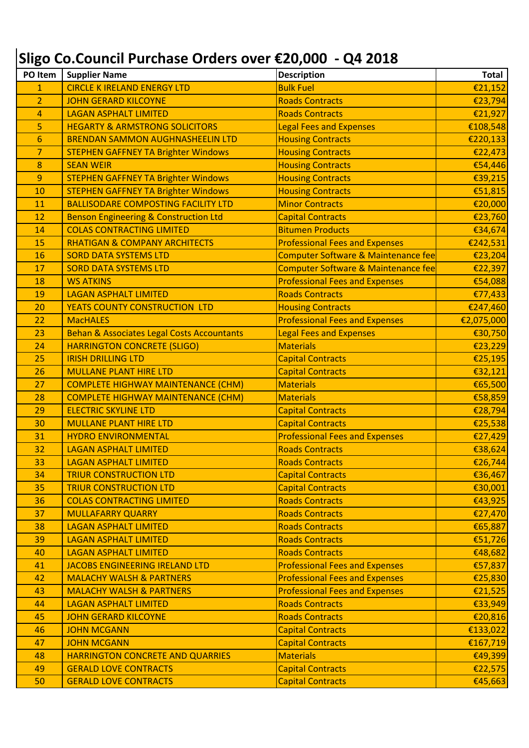## **Sligo Co.Council Purchase Orders over €20,000 - Q4 2018**

| PO Item        | <b>Supplier Name</b>                                  | <b>Description</b>                    | <b>Total</b> |
|----------------|-------------------------------------------------------|---------------------------------------|--------------|
| $\mathbf{1}$   | <b>CIRCLE K IRELAND ENERGY LTD</b>                    | <b>Bulk Fuel</b>                      | €21,152      |
| $\overline{2}$ | <b>JOHN GERARD KILCOYNE</b>                           | <b>Roads Contracts</b>                | €23,794      |
| 4              | <b>LAGAN ASPHALT LIMITED</b>                          | <b>Roads Contracts</b>                | €21,927      |
| 5              | <b>HEGARTY &amp; ARMSTRONG SOLICITORS</b>             | <b>Legal Fees and Expenses</b>        | €108,548     |
| 6              | <b>BRENDAN SAMMON AUGHNASHEELIN LTD</b>               | <b>Housing Contracts</b>              | €220,133     |
| $\overline{7}$ | <b>STEPHEN GAFFNEY TA Brighter Windows</b>            | <b>Housing Contracts</b>              | €22,473      |
| 8              | <b>SEAN WEIR</b>                                      | <b>Housing Contracts</b>              | €54,446      |
| 9              | <b>STEPHEN GAFFNEY TA Brighter Windows</b>            | <b>Housing Contracts</b>              | €39,215      |
| 10             | <b>STEPHEN GAFFNEY TA Brighter Windows</b>            | <b>Housing Contracts</b>              | €51,815      |
| 11             | <b>BALLISODARE COMPOSTING FACILITY LTD</b>            | <b>Minor Contracts</b>                | €20,000      |
| 12             | <b>Benson Engineering &amp; Construction Ltd</b>      | <b>Capital Contracts</b>              | €23,760      |
| 14             | <b>COLAS CONTRACTING LIMITED</b>                      | <b>Bitumen Products</b>               | €34,674      |
| 15             | <b>RHATIGAN &amp; COMPANY ARCHITECTS</b>              | <b>Professional Fees and Expenses</b> | €242,531     |
| 16             | <b>SORD DATA SYSTEMS LTD</b>                          | Computer Software & Maintenance fee   | €23,204      |
| 17             | <b>SORD DATA SYSTEMS LTD</b>                          | Computer Software & Maintenance fee   | €22,397      |
| 18             | <b>WS ATKINS</b>                                      | <b>Professional Fees and Expenses</b> | €54,088      |
| 19             | <b>LAGAN ASPHALT LIMITED</b>                          | <b>Roads Contracts</b>                | €77,433      |
| 20             | YEATS COUNTY CONSTRUCTION LTD                         | <b>Housing Contracts</b>              | €247,460     |
| 22             | <b>MacHALES</b>                                       | <b>Professional Fees and Expenses</b> | €2,075,000   |
| 23             | <b>Behan &amp; Associates Legal Costs Accountants</b> | <b>Legal Fees and Expenses</b>        | €30,750      |
| 24             | <b>HARRINGTON CONCRETE (SLIGO)</b>                    | <b>Materials</b>                      | €23,229      |
| 25             | <b>IRISH DRILLING LTD</b>                             | <b>Capital Contracts</b>              | €25,195      |
| 26             | <b>MULLANE PLANT HIRE LTD</b>                         | <b>Capital Contracts</b>              | €32,121      |
| 27             | <b>COMPLETE HIGHWAY MAINTENANCE (CHM)</b>             | <b>Materials</b>                      | €65,500      |
| 28             | <b>COMPLETE HIGHWAY MAINTENANCE (CHM)</b>             | <b>Materials</b>                      | €58,859      |
| 29             | <b>ELECTRIC SKYLINE LTD</b>                           | <b>Capital Contracts</b>              | €28,794      |
| 30             | <b>MULLANE PLANT HIRE LTD</b>                         | <b>Capital Contracts</b>              | €25,538      |
| 31             | <b>HYDRO ENVIRONMENTAL</b>                            | <b>Professional Fees and Expenses</b> | €27,429      |
| 32             | <b>LAGAN ASPHALT LIMITED</b>                          | <b>Roads Contracts</b>                | €38,624      |
| 33             | <b>LAGAN ASPHALT LIMITED</b>                          | <b>Roads Contracts</b>                | €26,744      |
| 34             | <b>TRIUR CONSTRUCTION LTD</b>                         | <b>Capital Contracts</b>              | €36,467      |
| 35             | <b>TRIUR CONSTRUCTION LTD</b>                         | <b>Capital Contracts</b>              | €30,001      |
| 36             | <b>COLAS CONTRACTING LIMITED</b>                      | <b>Roads Contracts</b>                | €43,925      |
| 37             | <b>MULLAFARRY QUARRY</b>                              | <b>Roads Contracts</b>                | €27,470      |
| 38             | <b>LAGAN ASPHALT LIMITED</b>                          | <b>Roads Contracts</b>                | €65,887      |
| 39             | <b>LAGAN ASPHALT LIMITED</b>                          | <b>Roads Contracts</b>                | €51,726      |
| 40             | <b>LAGAN ASPHALT LIMITED</b>                          | <b>Roads Contracts</b>                | €48,682      |
| 41             | JACOBS ENGINEERING IRELAND LTD                        | <b>Professional Fees and Expenses</b> | €57,837      |
| 42             | <b>MALACHY WALSH &amp; PARTNERS</b>                   | <b>Professional Fees and Expenses</b> | €25,830      |
| 43             | <b>MALACHY WALSH &amp; PARTNERS</b>                   | <b>Professional Fees and Expenses</b> | €21,525      |
| 44             | <b>LAGAN ASPHALT LIMITED</b>                          | <b>Roads Contracts</b>                | €33,949      |
| 45             | <b>JOHN GERARD KILCOYNE</b>                           | <b>Roads Contracts</b>                | €20,816      |
| 46             | <b>JOHN MCGANN</b>                                    | <b>Capital Contracts</b>              | €133,022     |
| 47             | <b>JOHN MCGANN</b>                                    | <b>Capital Contracts</b>              | €167,719     |
| 48             | HARRINGTON CONCRETE AND QUARRIES                      | <b>Materials</b>                      | €49,399      |
| 49             | <b>GERALD LOVE CONTRACTS</b>                          | <b>Capital Contracts</b>              | €22,575      |
| 50             | <b>GERALD LOVE CONTRACTS</b>                          | <b>Capital Contracts</b>              | €45,663      |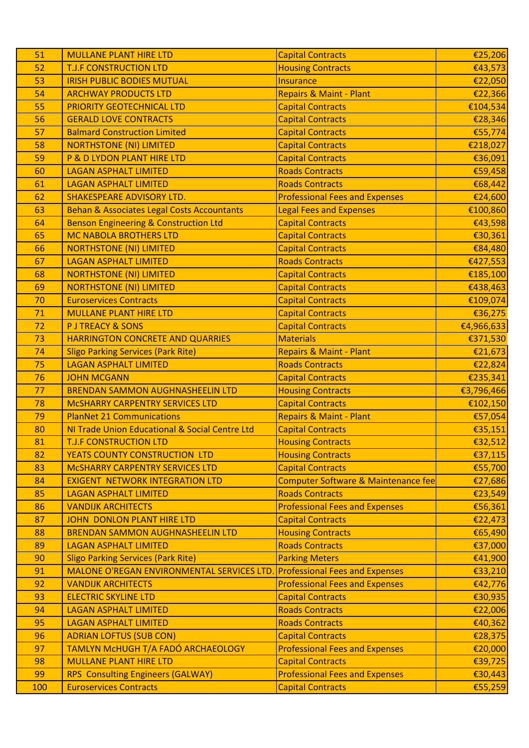|    | <b>MULLANE PLANT HIRE LTD</b>                                      | <b>Capital Contracts</b>                                          | €25,206            |
|----|--------------------------------------------------------------------|-------------------------------------------------------------------|--------------------|
| 52 | <b>T.J.F CONSTRUCTION LTD</b>                                      | <b>Housing Contracts</b>                                          | €43,573            |
| 53 | <b>IRISH PUBLIC BODIES MUTUAL</b>                                  | <b>Insurance</b>                                                  | €22,050            |
| 54 | <b>ARCHWAY PRODUCTS LTD</b>                                        | <b>Repairs &amp; Maint - Plant</b>                                | €22,366            |
| 55 | <b>PRIORITY GEOTECHNICAL LTD</b>                                   | <b>Capital Contracts</b>                                          | €104,534           |
| 56 | <b>GERALD LOVE CONTRACTS</b>                                       | <b>Capital Contracts</b>                                          | €28,346            |
| 57 | <b>Balmard Construction Limited</b>                                | <b>Capital Contracts</b>                                          | €55,774            |
| 58 | <b>NORTHSTONE (NI) LIMITED</b>                                     | <b>Capital Contracts</b>                                          | €218,027           |
| 59 | P & D LYDON PLANT HIRE LTD                                         | <b>Capital Contracts</b>                                          | €36,091            |
| 60 | <b>LAGAN ASPHALT LIMITED</b>                                       | <b>Roads Contracts</b>                                            | €59,458            |
| 61 | <b>LAGAN ASPHALT LIMITED</b>                                       | <b>Roads Contracts</b>                                            | €68,442            |
| 62 | <b>SHAKESPEARE ADVISORY LTD.</b>                                   | <b>Professional Fees and Expenses</b>                             | €24,600            |
| 63 | <b>Behan &amp; Associates Legal Costs Accountants</b>              | <b>Legal Fees and Expenses</b>                                    | €100,860           |
| 64 | <b>Benson Engineering &amp; Construction Ltd</b>                   | <b>Capital Contracts</b>                                          | €43,598            |
| 65 | <b>MC NABOLA BROTHERS LTD</b>                                      | <b>Capital Contracts</b>                                          | €30,361            |
| 66 | <b>NORTHSTONE (NI) LIMITED</b>                                     | <b>Capital Contracts</b>                                          | €84,480            |
| 67 | <b>LAGAN ASPHALT LIMITED</b>                                       | <b>Roads Contracts</b>                                            | €427,553           |
| 68 | <b>NORTHSTONE (NI) LIMITED</b>                                     | <b>Capital Contracts</b>                                          | €185,100           |
| 69 | <b>NORTHSTONE (NI) LIMITED</b>                                     | <b>Capital Contracts</b>                                          | €438,463           |
| 70 | <b>Euroservices Contracts</b>                                      | <b>Capital Contracts</b>                                          | €109,074           |
| 71 | <b>MULLANE PLANT HIRE LTD</b>                                      | <b>Capital Contracts</b>                                          | €36,275            |
| 72 | <b>PJ TREACY &amp; SONS</b>                                        | <b>Capital Contracts</b>                                          | €4,966,633         |
| 73 | HARRINGTON CONCRETE AND QUARRIES                                   | <b>Materials</b>                                                  | €371,530           |
| 74 | <b>Sligo Parking Services (Park Rite)</b>                          | <b>Repairs &amp; Maint - Plant</b>                                | €21,673            |
| 75 | <b>LAGAN ASPHALT LIMITED</b>                                       | <b>Roads Contracts</b>                                            | €22,824            |
| 76 | <b>JOHN MCGANN</b>                                                 | <b>Capital Contracts</b>                                          | €235,341           |
| 77 | <b>BRENDAN SAMMON AUGHNASHEELIN LTD</b>                            | <b>Housing Contracts</b>                                          | €3,796,466         |
|    |                                                                    |                                                                   |                    |
| 78 | MCSHARRY CARPENTRY SERVICES LTD                                    | <b>Capital Contracts</b>                                          | €102,150           |
| 79 | <b>PlanNet 21 Communications</b>                                   | <b>Repairs &amp; Maint - Plant</b>                                | €57,054            |
| 80 | NI Trade Union Educational & Social Centre Ltd                     | <b>Capital Contracts</b>                                          | €35,151            |
| 81 | <b>T.J.F CONSTRUCTION LTD</b>                                      | <b>Housing Contracts</b>                                          | €32,512            |
| 82 | YEATS COUNTY CONSTRUCTION LTD                                      | <b>Housing Contracts</b>                                          | €37,115            |
| 83 | MCSHARRY CARPENTRY SERVICES LTD                                    | <b>Capital Contracts</b>                                          | €55,700            |
| 84 | <b>EXIGENT NETWORK INTEGRATION LTD</b>                             | Computer Software & Maintenance fee                               | €27,686            |
| 85 | <b>LAGAN ASPHALT LIMITED</b>                                       | <b>Roads Contracts</b>                                            | €23,549            |
| 86 | <b>VANDIJK ARCHITECTS</b>                                          | <b>Professional Fees and Expenses</b>                             | €56,361            |
| 87 | <b>JOHN DONLON PLANT HIRE LTD</b>                                  | <b>Capital Contracts</b>                                          | €22,473            |
| 88 | <b>BRENDAN SAMMON AUGHNASHEELIN LTD</b>                            | <b>Housing Contracts</b>                                          | €65,490            |
| 89 | <b>LAGAN ASPHALT LIMITED</b>                                       | <b>Roads Contracts</b>                                            | €37,000            |
| 90 | <b>Sligo Parking Services (Park Rite)</b>                          | <b>Parking Meters</b>                                             | €41,900            |
| 91 | MALONE O'REGAN ENVIRONMENTAL SERVICES LTD.                         | <b>Professional Fees and Expenses</b>                             | €33,210            |
| 92 | <b>VANDIJK ARCHITECTS</b>                                          | <b>Professional Fees and Expenses</b>                             | €42,776            |
| 93 | <b>ELECTRIC SKYLINE LTD</b>                                        | <b>Capital Contracts</b>                                          | €30,935            |
| 94 | <b>LAGAN ASPHALT LIMITED</b>                                       | <b>Roads Contracts</b>                                            | €22,006            |
| 95 | <b>LAGAN ASPHALT LIMITED</b>                                       | <b>Roads Contracts</b>                                            | €40,362            |
| 96 | <b>ADRIAN LOFTUS (SUB CON)</b>                                     | <b>Capital Contracts</b>                                          | €28,375            |
| 97 | TAMLYN MCHUGH T/A FADÓ ARCHAEOLOGY                                 | <b>Professional Fees and Expenses</b>                             | €20,000            |
| 98 | <b>MULLANE PLANT HIRE LTD</b>                                      | <b>Capital Contracts</b>                                          | €39,725            |
| 99 | RPS Consulting Engineers (GALWAY)<br><b>Euroservices Contracts</b> | <b>Professional Fees and Expenses</b><br><b>Capital Contracts</b> | €30,443<br>€55,259 |